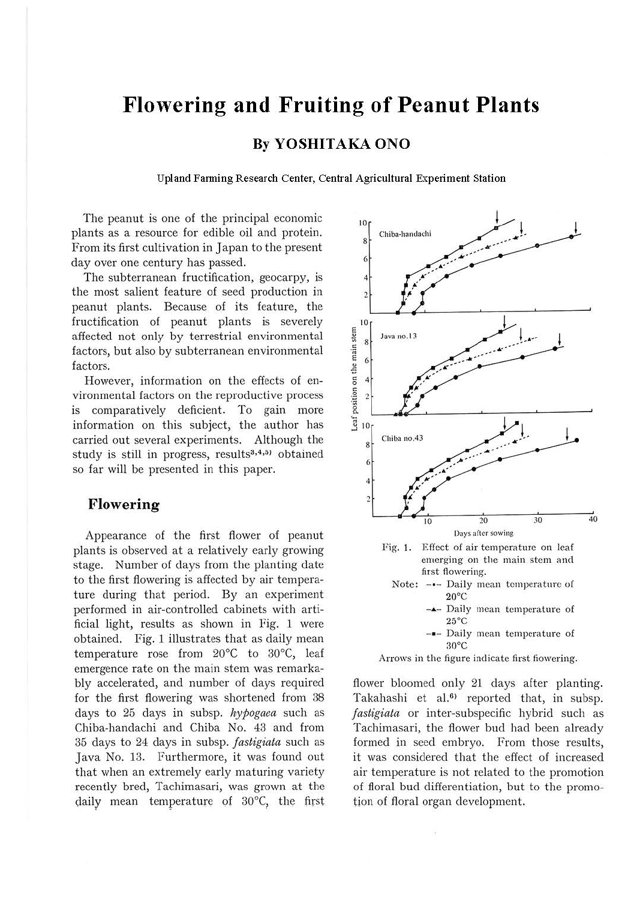# **Flowering and Fruiting of Peanut Plants**

## **By YOSHITAKA ONO**

**Upland Farming Research Center, Central Agricultural Experiment Station** 

The peanut is one of the principal economic plants as a resource for edible oil and protein. From its first cultivation in Japan to the present day over one century has passed.

The subterranean fructification, geocarpy, is the most salient feature of seed production in peanut plants. Because of its feature, the fructification of peanut plants is severely affected not only by terrestrial environmental factors, but also by subterranean environmental factors.

However, information on the effects of environmental factors on the reproductive process is comparatively deficient. To gain more information on this subject, the author has carried out several experiments. Although the study is still in progress, results<sup>3,4,5</sup> obtained so far will be presented in this paper.

# **Flowering**

Appearance of the first flower of peanut plants is observed at a relatively early growing stage. Number of days from the planting date to the first flowering is affected by air temperature during that period. By an experiment performed in air-controlled cabinets with artificial light, results as shown in Fig. 1 were obtained. Fig. 1 illustrates that as daily mean temperature rose from 20°C to 30°C, leaf emergence rate on the main stem was remarkably accelerated, and number of days required for the first flowering was shortened from 38 days to 25 days in subsp. *hypogaea* such as Chiba-bandachi and Chiba No. 43 and from 35 days to 24 days in subsp. *fastigiata* such as Java No. 13. Furthermore, it was found out that when an extremely early maturing variety recently bred, Tachimasari, was grown at the daily mean temperature of 30°C, the first



flower bloomed only 21 days after planting. Takahashi et al.<sup>6)</sup> reported that, in subsp. *f astigiata* or inter-subspecific hybrid such as Tachimasari, the flower bud had been already formed in seed embryo. From those results, it was considered that the effect of increased air temperature is not related to the promotion of floral bud differentiation, but to the promotion of floral organ development.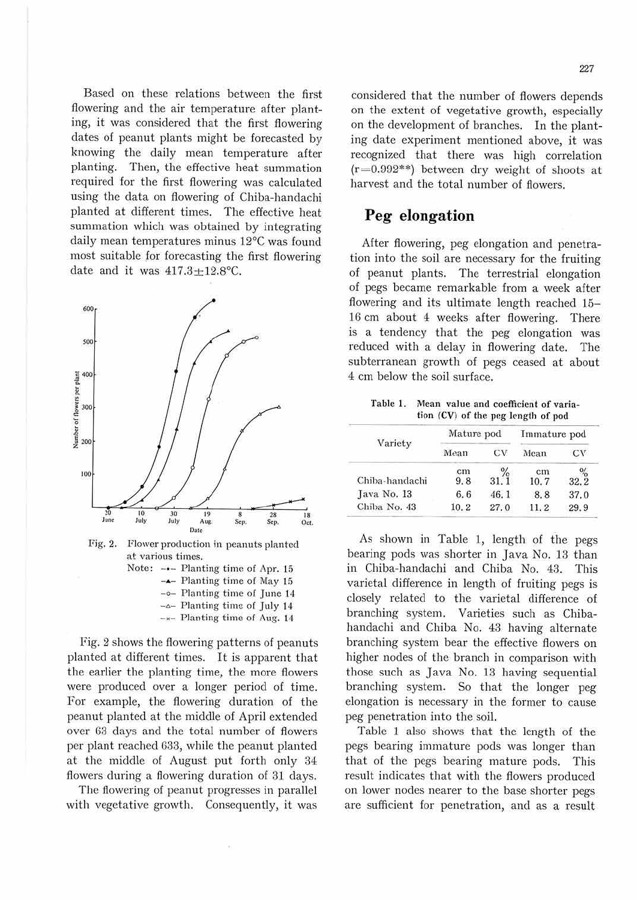Based on these relations between the first flowering and the air temperature after planting, it was considered that the first flowering dates of peanut plants might be forecasted by knowing the daily mean temperature after planting. Then, the effective heat summation required for the first flowering was calculated using the data on flowering of Chiba-handachi planted at different times. The effective heat summation which was obtained by integrating daily mean temperatures minus 12°C was found most suitable for forecasting the first flowering date and it was  $417.3 \pm 12.8$ °C.



 $-x$ - Planting time of Aug. 14

Fig. 2 shows the flowering patterns of peanuts planted at different times. It is apparent that the earlier the planting time, the more flowers were produced over a longer period of time. For example, the flowering duration of the peanut planted at the middle of April extended over 63 days and the total number of flowers per plant reached 633, while the peanut planted at the middle of August put forth only 34 flowers during a flowering duration of 31 days.

The flowering of peanut progresses in parallel with vegetative growth. Consequently, it was considered that the number of flowers depends on the extent of vegetative growth, especially on the development of branches. In the planting date experiment mentioned above, it was recognized that there was high correlation  $(r=0.992**)$  between dry weight of shoots at harvest and the total number of flowers.

# **Peg elongation**

After flowering, peg elongation and penetration into the soil are necessary for the fruiting of peanut plants. The terrestrial elongation of pegs became remarkable from a week after flowering and its ultimate length reached 15- 16 cm about 4 weeks after flowering. There is a tendency that the peg elongation was reduced with a delay in flowering date. The subterranean growth of pegs ceased at about 4 cm below the soil surface.

Table 1. Mean value and coefficient of variation (CV) of the peg length of pod

| Variety        | Mature pod |      | Immature pod |                    |
|----------------|------------|------|--------------|--------------------|
|                | Mean       | CV   | Mean         | CV                 |
| Chiba-handachi | cm<br>9.8  | 31.1 | cm<br>10.7   | $\frac{9}{6}$ 32.2 |
| Java No. 13    | 6.6        | 46.1 | 8.8          | 37.0               |
| Chiba No. 43   | 10.2       | 27.0 | 11.2         | 29.9               |

As shown in Table 1, length of the pegs bearing pods was shorter in Java No. 13 than in Chiba-handachi and Chiba No. 43. This varietal difference in length of fruiting pegs is closely related to the varietal difference of branching system. Varieties such as Chibahandachi and Chiba No. 43 having alternate branching system bear the effective flowers on higher nodes of the branch in comparison with those such as Java No. 13 having sequential branching system. So that the longer peg elongation is necessary in the former to cause peg penetration into the soil.

Table 1 also shows that the length of the pegs bearing immature pods was longer than that of the pegs bearing mature pods. This result indicates that with the flowers produced on lower nodes nearer to the base shorter pegs are sufficient for penetration, and as a result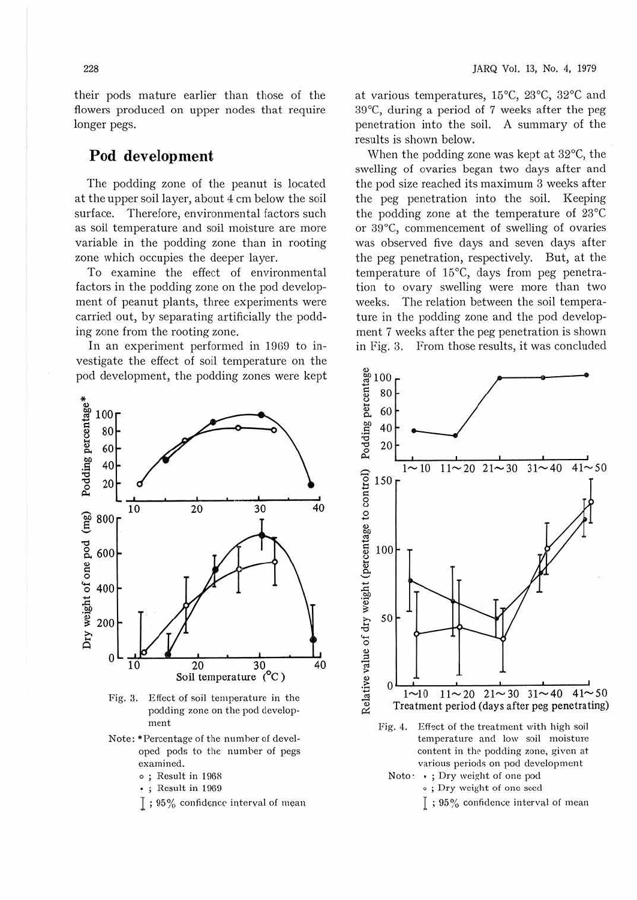their pods mature earlier than those of the flowers produced on upper nodes that require longer pegs.

## **Pod development**

The podding zone of the peanut is located at the upper soil layer, about 4 cm below the soil surface. Therefore, environmental factors such as soil temperature and soil moisture are more variable in the podding zone than in rooting zone which occupies the deeper layer.

To examine the effect of environmental factors in the podding zone on the pod development of peanut plants, three experiments were carried out, by separating artificially the podding zone from the rooting zone.

In an experiment performed in 1969 to investigate the effect of soil temperature on the pod development, the podding zones were kept at various temperatures, 15°C, 23°C, 32°C and 39°C, during a period of 7 weeks after the peg penetration into the soil. A summary of the results is shown below.

When the podding zone was kept at 32°C, the swelling of ovaries began two days after and the pod size reached its maximum 3 weeks after the peg penetration into the soil. Keeping the podding zone at the temperature of 23°C or 39°C, commencement of swelling of ovaries was observed five days and seven days after the peg penetration, respectively. But, at the temperature of 15°C, days from peg penetration to ovary swelling were more than two weeks. The relation between the soil temperature in the podding zone and the pod development 7 weeks after the peg penetration is shown in Fig. 3. From those results, it was concluded



Fig. 3. Effect of soil temperature in the podding zone on the pod development

- Note: \*Percentage of the number of developed pods to the number of pegs examined.
	- o ; Result in 1968
	- , ; Result in 1969
	- $\lceil$  ; 95% confidence interval of mean



- Fig. 4. Effect of the treatment with high soil temperature and low soil moisture content in the podding zone, given at various periods on pod development
	- Noto: . ; Dry weight of one pod o ; Dry weight of one seed
		- $\bar{1}$ ; 95% confidence interval of mean